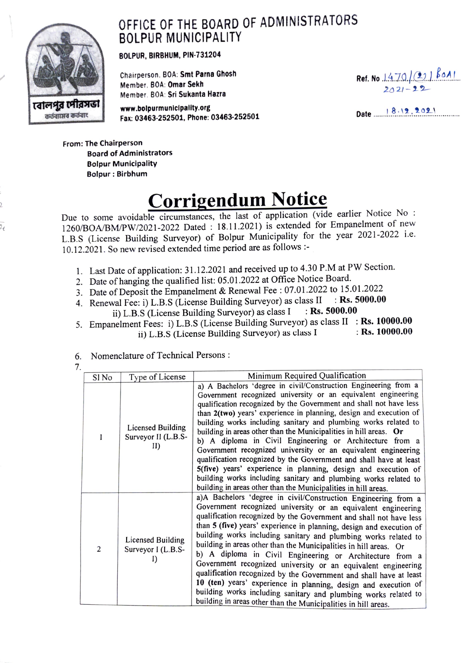## OFFICE OF THE BOARD OF ADMINISTRATORS BOLPUR MUNICIPALITY



BOLPUR, BIRBHUM, PIN-731204

Chairperson. BOA: Smt Parna Ghosh Member. B0A: Omar Sekh Member. BOA: Sri Sukanta Hazra

www.bolpurmunicipality.org www.bolpurmunicipality.org<br>Fax: 03463-252501, Phone: 03463-252501 Date by Date by Date by Marshall Marshall Marshall Marshall Marshall Ma

Ref. No. 1470 (2)  $\frac{801}{804}$ 

From: The Chairperson Board of Administrators Bolpur Municipality Bolpur: Birbhum

## Corrigendum Notice

Due to some avoidable circumstances, the last of application (vide earlier Notice No: 1260/BOA/BM/PW/2021-2022 Dated : 18.11.2021) is extended for Empanelment of new L.B.S (License Building Surveyor) of Bolpur Municipality for the year 2021-2022 i.e. 10.12.2021. So new revised extended time period are as follows:

- 1. Last Date of application: 31.12.2021 and received up to 4.30 P.M at PW Section.
- 2. Date of hanging the qualified list: 05.01.2022 at Office Notice Board.
- 3. Date of Deposit the Empanelment & Renewal Fee: 07.01.2022 to 15.01.2022
- 4. Renewal Fee: i) L.B.S (License Building Surveyor) as class II : Rs. 5000.00 ii) L.B.S (License Building Surveyor) as class  $I \rightarrow \mathbf{Rs.}$  5000.00
- 5. Empanelment Fees: i) L.B.S (License Building Surveyor) as class II : Rs. 10000.00 ii) L.B.S (License Building Surveyor) as class I  $\cdot$  Rs. 10000.00

6. Nomenclature of Technical Persons

7.

| Sl No | Type of License                                      | Minimum Required Qualification                                                                                                                                                                                                                                                                                                                                                                                                                                                                                                                                                                                                                                                                                                                                                                                                   |
|-------|------------------------------------------------------|----------------------------------------------------------------------------------------------------------------------------------------------------------------------------------------------------------------------------------------------------------------------------------------------------------------------------------------------------------------------------------------------------------------------------------------------------------------------------------------------------------------------------------------------------------------------------------------------------------------------------------------------------------------------------------------------------------------------------------------------------------------------------------------------------------------------------------|
| 1     | Licensed Building<br>Surveyor II (L.B.S-<br>II)      | a) A Bachelors 'degree in civil/Construction Engineering from a<br>Government recognized university or an equivalent engineering<br>qualification recognized by the Government and shall not have less<br>than 2(two) years' experience in planning, design and execution of<br>building works including sanitary and plumbing works related to<br>building in areas other than the Municipalities in hill areas. Or<br>b) A diploma in Civil Engineering or Architecture from a<br>Government recognized university or an equivalent engineering<br>qualification recognized by the Government and shall have at least<br>5(five) years' experience in planning, design and execution of<br>building works including sanitary and plumbing works related to<br>building in areas other than the Municipalities in hill areas.   |
| 2     | <b>Licensed Building</b><br>Surveyor I (L.B.S-<br>I) | a)A Bachelors 'degree in civil/Construction Engineering from a<br>Government recognized university or an equivalent engineering<br>qualification recognized by the Government and shall not have less<br>than 5 (five) years' experience in planning, design and execution of<br>building works including sanitary and plumbing works related to<br>building in areas other than the Municipalities in hill areas. Or<br>b) A diploma in Civil Engineering or Architecture from a<br>Government recognized university or an equivalent engineering<br>qualification recognized by the Government and shall have at least<br>10 (ten) years' experience in planning, design and execution of<br>building works including sanitary and plumbing works related to<br>building in areas other than the Municipalities in hill areas. |